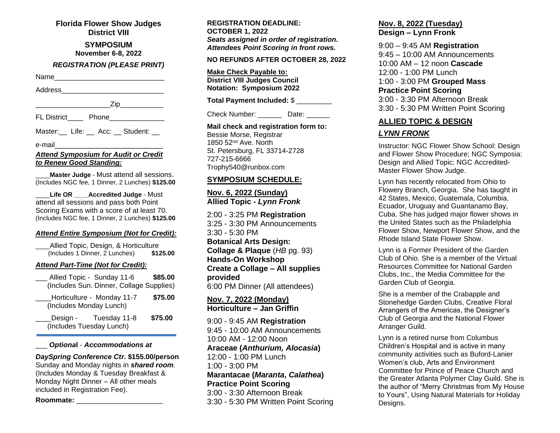**Florida Flower Show Judges District VIII**

> **SYMPOSIUM November 6-8, 2022**

#### *REGISTRATION (PLEASE PRINT)*

Name\_\_\_\_\_\_\_\_\_\_\_\_\_\_\_\_\_\_\_\_\_\_\_\_\_\_\_\_

Address\_\_\_\_\_\_\_\_\_\_\_\_\_\_\_\_\_\_\_\_\_\_\_\_\_\_

\_\_\_\_\_\_\_\_\_\_\_\_\_\_\_\_\_\_\_Zip\_\_\_\_\_\_\_\_\_\_\_

FL District Phone \_\_\_\_\_\_\_\_\_\_\_

Master: Life: Acc: Student:

e-mail\_\_\_\_\_\_\_\_\_\_\_\_\_\_\_\_\_\_\_\_\_\_\_\_\_

#### *Attend Symposium for Audit or Credit to Renew Good Standing:*

\_\_\_\_**Master Judge** - Must attend all sessions. (Includes NGC fee, 1 Dinner, 2 Lunches) **\$125.00**

\_\_\_\_**Life OR \_\_\_\_Accredited Judge** - Must attend all sessions and pass both Point Scoring Exams with a score of at least 70. (Includes NGC fee, 1 Dinner, 2 Lunches) **\$125.00**

### *Attend Entire Symposium (Not for Credit):*

\_\_\_\_Allied Topic, Design, & Horticulture (Includes 1 Dinner, 2 Lunches) **\$125.00**

## *Attend Part-Time (Not for Credit):*

|                                          | Allied Topic - Sunday 11-6                        | \$85.00 |
|------------------------------------------|---------------------------------------------------|---------|
| (Includes Sun. Dinner, Collage Supplies) |                                                   |         |
| (Includes Monday Lunch)                  | Horticulture - Monday 11-7                        | \$75.00 |
|                                          | Design - Tuesday 11-8<br>(Includes Tuesday Lunch) | \$75.00 |

#### \_\_\_ *Optiona***l** - *Accommodations at*

*DaySpring Conference Ctr.* **\$155.00/person** Sunday and Monday nights in *shared room.* (Includes Monday & Tuesday Breakfast & Monday Night Dinner – All other meals included in Registration Fee).

**Roommate:** \_\_\_\_\_\_\_\_\_\_\_\_\_\_\_\_\_\_\_\_\_\_

**REGISTRATION DEADLINE: OCTOBER 1, 2022** *Seats assigned in order of registration. Attendees Point Scoring in front rows.*

#### **NO REFUNDS AFTER OCTOBER 28, 2022**

**Make Check Payable to: District VIII Judges Council Notation: Symposium 2022**

**Total Payment Included:** \$ \_\_\_\_\_\_\_\_\_

Check Number: Date:

**Mail check and registration form to:** Bessie Morse, Registrar 1850 52nd Ave. North St. Petersburg, FL 33714-2728 727-215-6666 Trophy540@runbox.com

### **SYMPOSIUM SCHEDULE:**

## **Nov. 6, 2022 (Sunday) Allied Topic -** *Lynn Fronk*

2:00 - 3:25 PM **Registration** 3:25 - 3:30 PM Announcements 3:30 - 5:30 PM **Botanical Arts Design: Collage & Plaque** (*HB* pg. 93) **Hands-On Workshop Create a Collage – All supplies provided** 6:00 PM Dinner (All attendees)

**Nov. 7, 2022 (Monday) Horticulture – Jan Griffin**

9:00 - 9:45 AM **Registration** 9:45 - 10:00 AM Announcements 10:00 AM - 12:00 Noon **Araceae (***Anthurium, Alocasia***)** 12:00 - 1:00 PM Lunch  $1:00 - 3:00$  PM **Marantacae (***Maranta***,** *Calathea***) Practice Point Scoring** 3:00 - 3:30 Afternoon Break 3:30 - 5:30 PM Written Point Scoring

# **Nov. 8, 2022 (Tuesday) Design – Lynn Fronk**

9:00 – 9:45 AM **Registration** 9:45 – 10:00 AM Announcements 10:00 AM – 12 noon **Cascade** 12:00 - 1:00 PM Lunch 1:00 - 3:00 PM **Grouped Mass Practice Point Scoring** 3:00 - 3:30 PM Afternoon Break 3:30 - 5:30 PM Written Point Scoring

# **ALLIED TOPIC & DESIGN**

# *LYNN FRONK*

Instructor: NGC Flower Show School: Design and Flower Show Procedure; NGC Symposia: Design and Allied Topic; NGC Accredited-Master Flower Show Judge.

Lynn has recently relocated from Ohio to Flowery Branch, Georgia. She has taught in 42 States, Mexico, Guatemala, Columbia, Ecuador, Uruguay and Guantanamo Bay, Cuba. She has judged major flower shows in the United States such as the Philadelphia Flower Show, Newport Flower Show, and the Rhode Island State Flower Show.

Lynn is a Former President of the Garden Club of Ohio. She is a member of the Virtual Resources Committee for National Garden Clubs, Inc., the Media Committee for the Garden Club of Georgia.

She is a member of the Crabapple and Stonehedge Garden Clubs, Creative Floral Arrangers of the Americas, the Designer's Club of Georgia and the National Flower Arranger Guild.

Lynn is a retired nurse from Columbus Children's Hospital and is active in many community activities such as Buford-Lanier Women's club, Arts and Environment Committee for Prince of Peace Church and the Greater Atlanta Polymer Clay Guild. She is the author of "Merry Christmas from My House to Yours", Using Natural Materials for Holiday Designs.